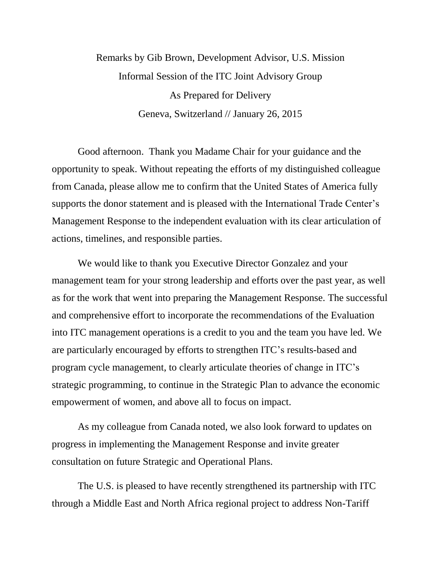## Remarks by Gib Brown, Development Advisor, U.S. Mission Informal Session of the ITC Joint Advisory Group As Prepared for Delivery Geneva, Switzerland // January 26, 2015

Good afternoon. Thank you Madame Chair for your guidance and the opportunity to speak. Without repeating the efforts of my distinguished colleague from Canada, please allow me to confirm that the United States of America fully supports the donor statement and is pleased with the International Trade Center's Management Response to the independent evaluation with its clear articulation of actions, timelines, and responsible parties.

We would like to thank you Executive Director Gonzalez and your management team for your strong leadership and efforts over the past year, as well as for the work that went into preparing the Management Response. The successful and comprehensive effort to incorporate the recommendations of the Evaluation into ITC management operations is a credit to you and the team you have led. We are particularly encouraged by efforts to strengthen ITC's results-based and program cycle management, to clearly articulate theories of change in ITC's strategic programming, to continue in the Strategic Plan to advance the economic empowerment of women, and above all to focus on impact.

As my colleague from Canada noted, we also look forward to updates on progress in implementing the Management Response and invite greater consultation on future Strategic and Operational Plans.

The U.S. is pleased to have recently strengthened its partnership with ITC through a Middle East and North Africa regional project to address Non-Tariff